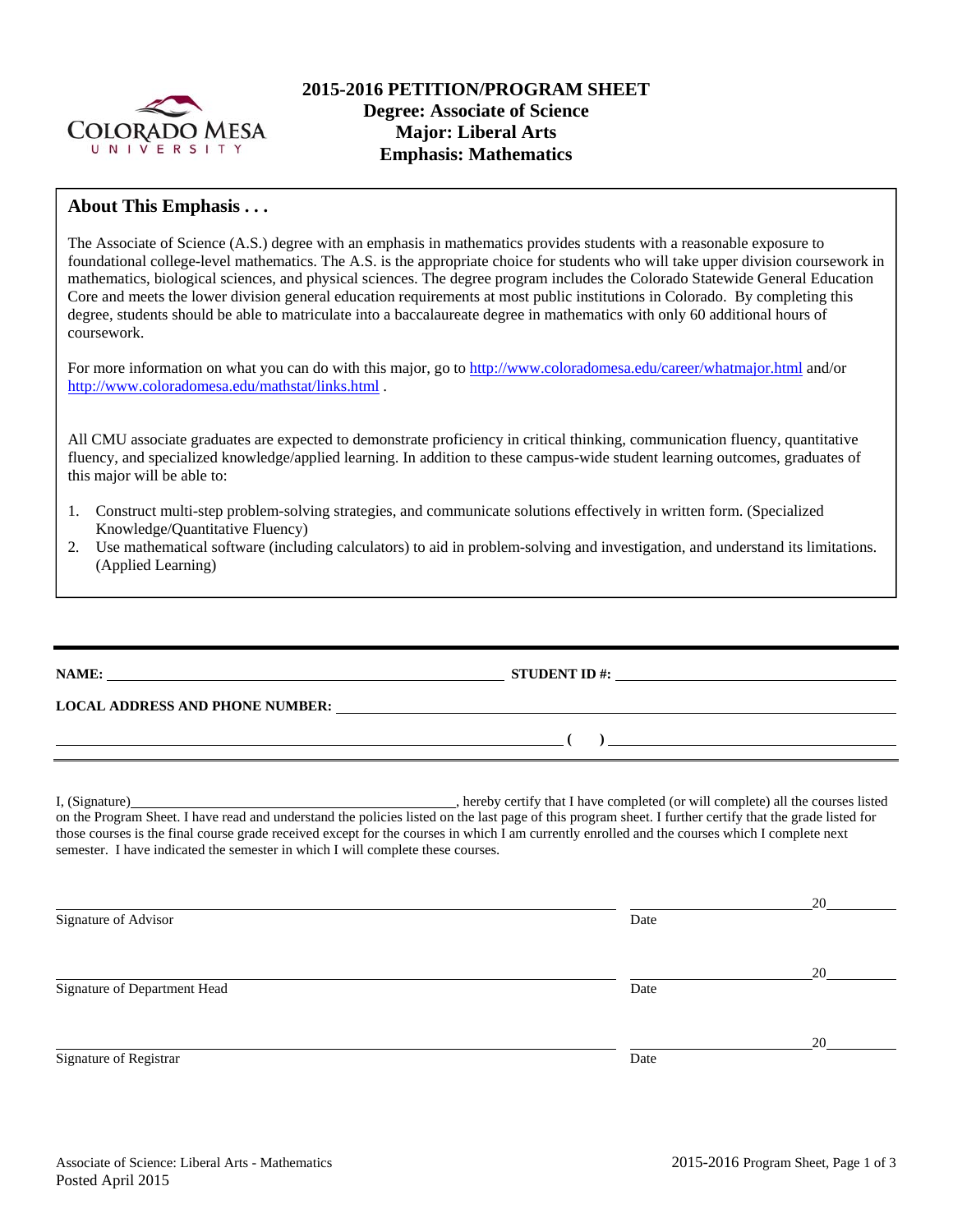

## **About This Emphasis . . .**

The Associate of Science (A.S.) degree with an emphasis in mathematics provides students with a reasonable exposure to foundational college-level mathematics. The A.S. is the appropriate choice for students who will take upper division coursework in mathematics, biological sciences, and physical sciences. The degree program includes the Colorado Statewide General Education Core and meets the lower division general education requirements at most public institutions in Colorado. By completing this degree, students should be able to matriculate into a baccalaureate degree in mathematics with only 60 additional hours of coursework.

For more information on what you can do with this major, go to http://www.coloradomesa.edu/career/whatmajor.html and/or http://www.coloradomesa.edu/mathstat/links.html .

All CMU associate graduates are expected to demonstrate proficiency in critical thinking, communication fluency, quantitative fluency, and specialized knowledge/applied learning. In addition to these campus-wide student learning outcomes, graduates of this major will be able to:

- 1. Construct multi-step problem-solving strategies, and communicate solutions effectively in written form. (Specialized Knowledge/Quantitative Fluency)
- 2. Use mathematical software (including calculators) to aid in problem-solving and investigation, and understand its limitations. (Applied Learning)

**NAME: STUDENT ID #: LOCAL ADDRESS AND PHONE NUMBER:**  $($   $)$   $)$ I, (Signature) **Source 2008** (Signature) **, hereby certify that I have completed** (or will complete) all the courses listed on the Program Sheet. I have read and understand the policies listed on the last page of this program sheet. I further certify that the grade listed for those courses is the final course grade received except for the courses in which I am currently enrolled and the courses which I complete next semester. I have indicated the semester in which I will complete these courses.

|                              |      | 20 |
|------------------------------|------|----|
| Signature of Advisor         | Date |    |
|                              |      | 20 |
| Signature of Department Head | Date |    |
|                              |      | 20 |
| Signature of Registrar       | Date |    |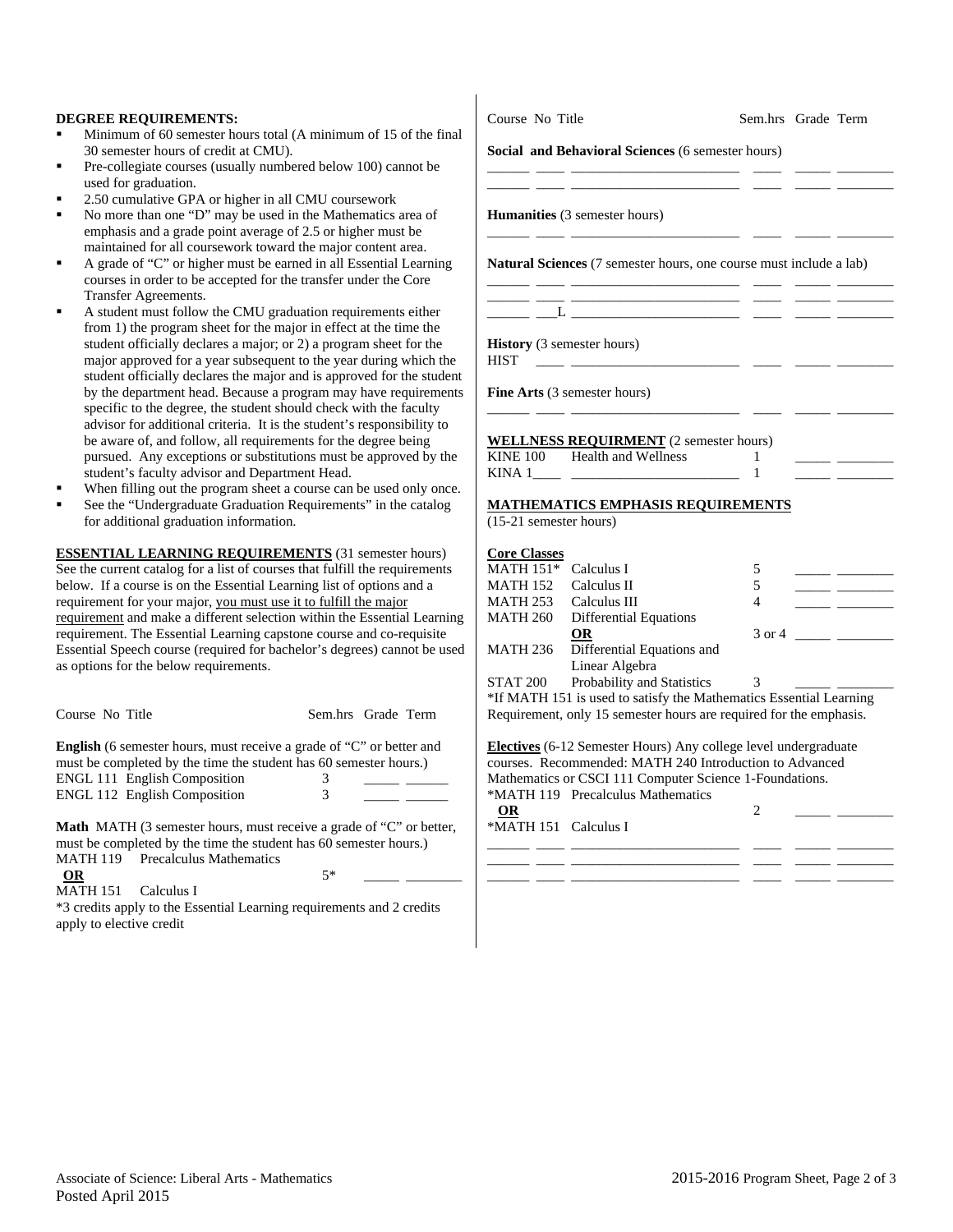#### **DEGREE REQUIREMENTS:**

- Minimum of 60 semester hours total (A minimum of 15 of the final 30 semester hours of credit at CMU).
- Pre-collegiate courses (usually numbered below 100) cannot be used for graduation.
- 2.50 cumulative GPA or higher in all CMU coursework
- No more than one "D" may be used in the Mathematics area of emphasis and a grade point average of 2.5 or higher must be maintained for all coursework toward the major content area.
- A grade of "C" or higher must be earned in all Essential Learning courses in order to be accepted for the transfer under the Core Transfer Agreements.
- A student must follow the CMU graduation requirements either from 1) the program sheet for the major in effect at the time the student officially declares a major; or 2) a program sheet for the major approved for a year subsequent to the year during which the student officially declares the major and is approved for the student by the department head. Because a program may have requirements specific to the degree, the student should check with the faculty advisor for additional criteria. It is the student's responsibility to be aware of, and follow, all requirements for the degree being pursued. Any exceptions or substitutions must be approved by the student's faculty advisor and Department Head.
- When filling out the program sheet a course can be used only once.
- See the "Undergraduate Graduation Requirements" in the catalog for additional graduation information.

**ESSENTIAL LEARNING REQUIREMENTS** (31 semester hours) See the current catalog for a list of courses that fulfill the requirements below. If a course is on the Essential Learning list of options and a requirement for your major, you must use it to fulfill the major requirement and make a different selection within the Essential Learning requirement. The Essential Learning capstone course and co-requisite Essential Speech course (required for bachelor's degrees) cannot be used as options for the below requirements.

| Course No Title                                                                                                                                                                                                                | Sem.hrs Grade Term |  |
|--------------------------------------------------------------------------------------------------------------------------------------------------------------------------------------------------------------------------------|--------------------|--|
| <b>English</b> (6 semester hours, must receive a grade of "C" or better and<br>must be completed by the time the student has 60 semester hours.)<br><b>ENGL 111 English Composition</b><br><b>ENGL 112 English Composition</b> | 3                  |  |

**Math** MATH (3 semester hours, must receive a grade of "C" or better, must be completed by the time the student has 60 semester hours.) MATH 119 Precalculus Mathematics **OR** 5\* \_\_\_\_\_ \_\_\_\_\_\_\_\_

MATH 151 Calculus I

\*3 credits apply to the Essential Learning requirements and 2 credits apply to elective credit

Course No Title Sem.hrs Grade Term

#### **Social and Behavioral Sciences** (6 semester hours)

\_\_\_\_\_\_ \_\_\_\_ \_\_\_\_\_\_\_\_\_\_\_\_\_\_\_\_\_\_\_\_\_\_\_\_ \_\_\_\_ \_\_\_\_\_ \_\_\_\_\_\_\_\_ \_\_\_\_\_\_ \_\_\_\_ \_\_\_\_\_\_\_\_\_\_\_\_\_\_\_\_\_\_\_\_\_\_\_\_ \_\_\_\_ \_\_\_\_\_ \_\_\_\_\_\_\_\_

**Humanities** (3 semester hours)

**Natural Sciences** (7 semester hours, one course must include a lab)

\_\_\_\_\_\_ \_\_\_\_ \_\_\_\_\_\_\_\_\_\_\_\_\_\_\_\_\_\_\_\_\_\_\_\_ \_\_\_\_ \_\_\_\_\_ \_\_\_\_\_\_\_\_

\_\_\_\_\_\_ \_\_\_\_ \_\_\_\_\_\_\_\_\_\_\_\_\_\_\_\_\_\_\_\_\_\_\_\_ \_\_\_\_ \_\_\_\_\_ \_\_\_\_\_\_\_\_ \_\_\_\_\_\_ \_\_\_\_ \_\_\_\_\_\_\_\_\_\_\_\_\_\_\_\_\_\_\_\_\_\_\_\_ \_\_\_\_ \_\_\_\_\_ \_\_\_\_\_\_\_\_

\_\_\_\_\_\_ \_\_\_\_ \_\_\_\_\_\_\_\_\_\_\_\_\_\_\_\_\_\_\_\_\_\_\_\_ \_\_\_\_ \_\_\_\_\_ \_\_\_\_\_\_\_\_

 $\_\_\_L$ 

**History** (3 semester hours) HIST \_\_\_\_ \_\_\_\_\_\_\_\_\_\_\_\_\_\_\_\_\_\_\_\_\_\_\_\_ \_\_\_\_ \_\_\_\_\_ \_\_\_\_\_\_\_\_

**Fine Arts** (3 semester hours)

**WELLNESS REQUIRMENT** (2 semester hours) KINE 100 Health and Wellness 1 KINA  $1$   $1$ 

### **MATHEMATICS EMPHASIS REQUIREMENTS**

(15-21 semester hours)

| <b>Core Classes</b>                                                |                               |        |  |  |
|--------------------------------------------------------------------|-------------------------------|--------|--|--|
| MATH 151* Calculus I                                               |                               | 5      |  |  |
| <b>MATH 152</b>                                                    | Calculus II                   | 5      |  |  |
| MATH 253 Calculus III                                              |                               | 4      |  |  |
| <b>MATH 260</b>                                                    | <b>Differential Equations</b> |        |  |  |
|                                                                    | <b>OR</b>                     | 3 or 4 |  |  |
| <b>MATH 236</b>                                                    | Differential Equations and    |        |  |  |
|                                                                    | Linear Algebra                |        |  |  |
| <b>STAT 200</b>                                                    | Probability and Statistics    |        |  |  |
| *If MATH 151 is used to satisfy the Mathematics Essential Learning |                               |        |  |  |

Requirement, only 15 semester hours are required for the emphasis.

**Electives** (6-12 Semester Hours) Any college level undergraduate courses. Recommended: MATH 240 Introduction to Advanced Mathematics or CSCI 111 Computer Science 1-Foundations. \*MATH 119 Precalculus Mathematics

\_\_\_\_\_\_ \_\_\_\_ \_\_\_\_\_\_\_\_\_\_\_\_\_\_\_\_\_\_\_\_\_\_\_\_ \_\_\_\_ \_\_\_\_\_ \_\_\_\_\_\_\_\_ \_\_\_\_\_\_ \_\_\_\_ \_\_\_\_\_\_\_\_\_\_\_\_\_\_\_\_\_\_\_\_\_\_\_\_ \_\_\_\_ \_\_\_\_\_ \_\_\_\_\_\_\_\_

| <b>OR</b><br>$\sim$ $\sim$ $\sim$ $\sim$ |  |  |
|------------------------------------------|--|--|
| *MATH 151 Calculus I                     |  |  |
|                                          |  |  |